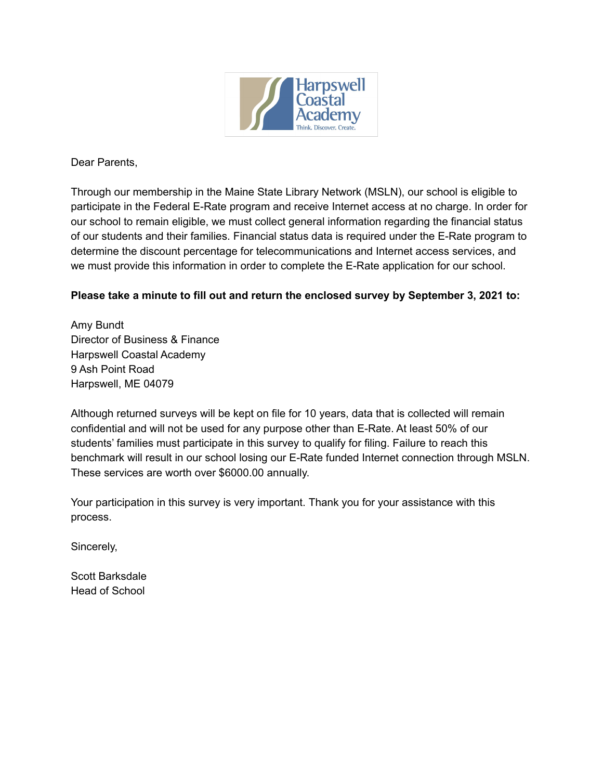

Dear Parents,

Through our membership in the Maine State Library Network (MSLN), our school is eligible to participate in the Federal E-Rate program and receive Internet access at no charge. In order for our school to remain eligible, we must collect general information regarding the financial status of our students and their families. Financial status data is required under the E-Rate program to determine the discount percentage for telecommunications and Internet access services, and we must provide this information in order to complete the E-Rate application for our school.

## **Please take a minute to fill out and return the enclosed survey by September 3, 2021 to:**

Amy Bundt Director of Business & Finance Harpswell Coastal Academy 9 Ash Point Road Harpswell, ME 04079

Although returned surveys will be kept on file for 10 years, data that is collected will remain confidential and will not be used for any purpose other than E-Rate. At least 50% of our students' families must participate in this survey to qualify for filing. Failure to reach this benchmark will result in our school losing our E-Rate funded Internet connection through MSLN. These services are worth over \$6000.00 annually.

Your participation in this survey is very important. Thank you for your assistance with this process.

Sincerely,

Scott Barksdale Head of School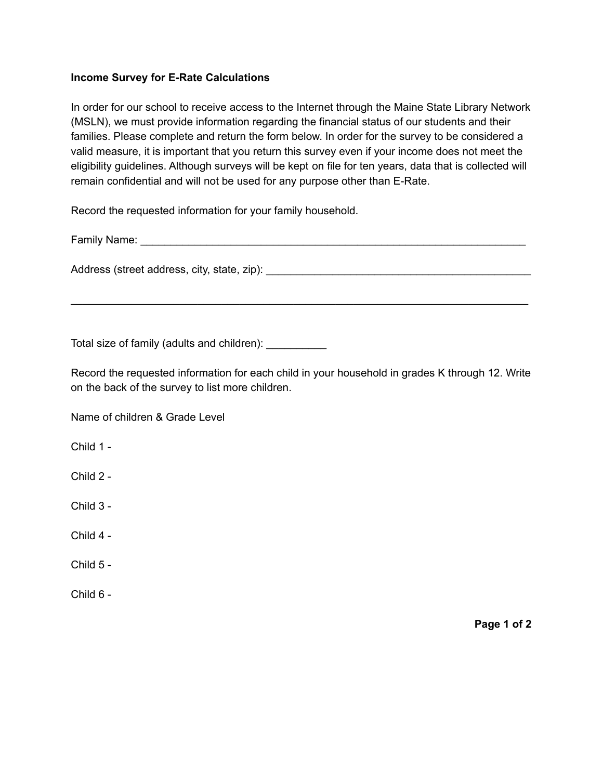## **Income Survey for E-Rate Calculations**

In order for our school to receive access to the Internet through the Maine State Library Network (MSLN), we must provide information regarding the financial status of our students and their families. Please complete and return the form below. In order for the survey to be considered a valid measure, it is important that you return this survey even if your income does not meet the eligibility guidelines. Although surveys will be kept on file for ten years, data that is collected will remain confidential and will not be used for any purpose other than E-Rate.

Record the requested information for your family household.

Family Name: **Example 2018** 

Address (street address, city, state, zip): \_\_\_\_\_\_\_\_\_\_\_\_\_\_\_\_\_\_\_\_\_\_\_\_\_\_\_\_\_\_\_\_\_\_\_\_\_\_\_\_\_\_\_\_

Total size of family (adults and children): \_\_\_\_\_\_\_\_\_\_

Record the requested information for each child in your household in grades K through 12. Write on the back of the survey to list more children.

\_\_\_\_\_\_\_\_\_\_\_\_\_\_\_\_\_\_\_\_\_\_\_\_\_\_\_\_\_\_\_\_\_\_\_\_\_\_\_\_\_\_\_\_\_\_\_\_\_\_\_\_\_\_\_\_\_\_\_\_\_\_\_\_\_\_\_\_\_\_\_\_\_\_\_\_

Name of children & Grade Level

Child 1 -

- Child 2 -
- Child 3 -

Child 4 -

Child 5 -

Child 6 -

**Page 1 of 2**